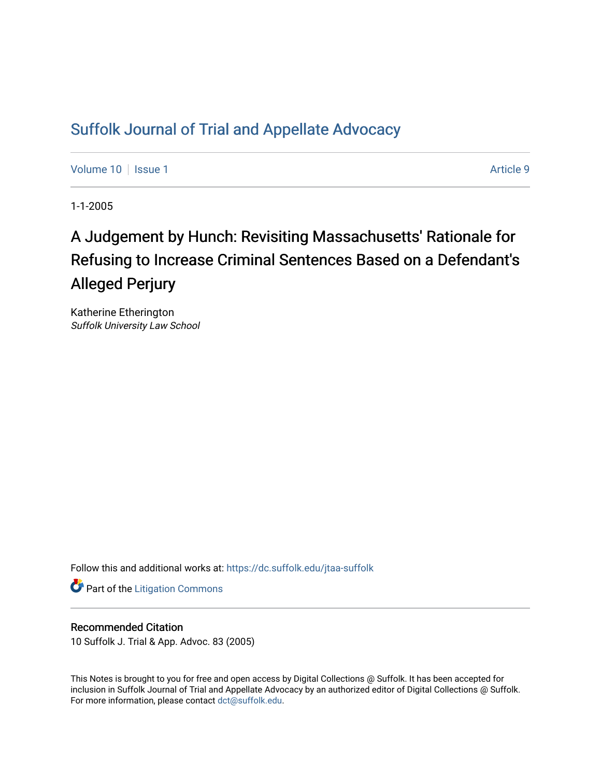# [Suffolk Journal of Trial and Appellate Advocacy](https://dc.suffolk.edu/jtaa-suffolk)

[Volume 10](https://dc.suffolk.edu/jtaa-suffolk/vol10) | [Issue 1](https://dc.suffolk.edu/jtaa-suffolk/vol10/iss1) Article 9

1-1-2005

# A Judgement by Hunch: Revisiting Massachusetts' Rationale for Refusing to Increase Criminal Sentences Based on a Defendant's Alleged Perjury

Katherine Etherington Suffolk University Law School

Follow this and additional works at: [https://dc.suffolk.edu/jtaa-suffolk](https://dc.suffolk.edu/jtaa-suffolk?utm_source=dc.suffolk.edu%2Fjtaa-suffolk%2Fvol10%2Fiss1%2F9&utm_medium=PDF&utm_campaign=PDFCoverPages) 

**Part of the [Litigation Commons](https://network.bepress.com/hgg/discipline/910?utm_source=dc.suffolk.edu%2Fjtaa-suffolk%2Fvol10%2Fiss1%2F9&utm_medium=PDF&utm_campaign=PDFCoverPages)** 

### Recommended Citation

10 Suffolk J. Trial & App. Advoc. 83 (2005)

This Notes is brought to you for free and open access by Digital Collections @ Suffolk. It has been accepted for inclusion in Suffolk Journal of Trial and Appellate Advocacy by an authorized editor of Digital Collections @ Suffolk. For more information, please contact [dct@suffolk.edu](mailto:dct@suffolk.edu).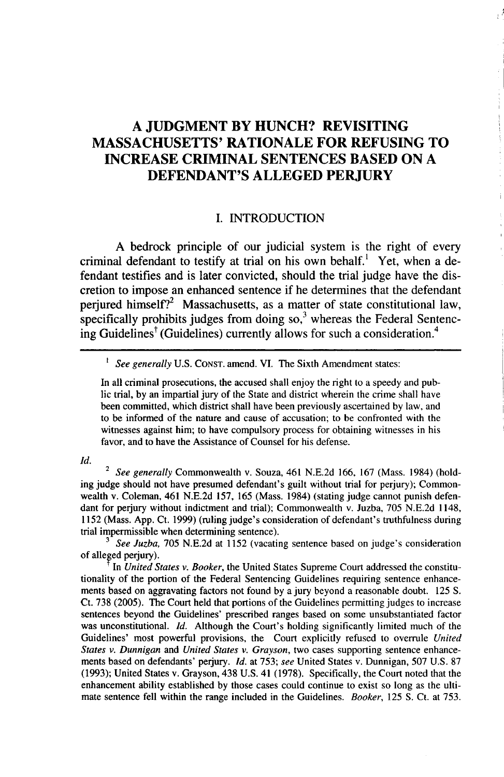## **A JUDGMENT BY HUNCH? REVISITING MASSACHUSETTS' RATIONALE FOR REFUSING TO INCREASE CRIMINAL SENTENCES BASED ON A DEFENDANT'S ALLEGED PERJURY**

#### I. **INTRODUCTION**

**A** bedrock principle of our judicial system is the right of every criminal defendant to testify at trial on his own behalf.<sup>1</sup> Yet, when a defendant testifies and is later convicted, should the trial judge have the discretion to impose an enhanced sentence if he determines that the defendant perjured himself?<sup>2</sup> Massachusetts, as a matter of state constitutional law, specifically prohibits judges from doing  $\text{so}^3$  whereas the Federal Sentencing Guidelines<sup>†</sup> (Guidelines) currently allows for such a consideration.<sup>4</sup>

#### <sup>1</sup> *See generally* U.S. CONST. amend. VI. The Sixth Amendment states:

In all criminal prosecutions, the accused shall enjoy the right to a speedy and public trial, **by** an impartial jury of the State and district wherein the crime shall have been committed, which district shall have been previously ascertained **by** law, and to be informed of the nature and cause of accusation; to be confronted with the witnesses against him; to have compulsory process for obtaining witnesses in his favor, and to have the Assistance of Counsel for his defense.

#### *Id.*

2 *See generally* Commonwealth v. Souza, 461 **N.E.2d 166, 167** (Mass. 1984) (holding judge should not have presumed defendant's guilt without trial for perjury); Commonwealth v. Coleman, 461 **N.E.2d 157, 165** (Mass. 1984) (stating judge cannot punish defendant for perjury without indictment and trial); Commonwealth v. Juzba, **705 N.E.2d** 1148, **1152** (Mass. **App.** Ct. **1999)** (ruling judge's consideration of defendant's truthfulness during trial impermissible when determining sentence).

*3 See Juzba,* **705 N.E.2d** at **1152** (vacating sentence based on judge's consideration of alleged perjury).

In *United States v. Booker,* the United States Supreme Court addressed the constitutionality of the portion of the Federal Sentencing Guidelines requiring sentence enhancements based on aggravating factors not found by a jury beyond a reasonable doubt. 125 **S.** Ct. 738 (2005). The Court held that portions of the Guidelines permitting judges to increase sentences beyond the Guidelines' prescribed ranges based on some unsubstantiated factor was unconstitutional. *Id.* Although the Court's holding significantly limited much of the Guidelines' most powerful provisions, the Court explicitly refused to overrule *United States v. Dunnigan* and *United States v. Grayson,* two cases supporting sentence enhancements based on defendants' perjury. *Id.* at 753; *see* United States v. Dunnigan, 507 U.S. 87 (1993); United States v. Grayson, 438 U.S. 41 (1978). Specifically, the Court noted that the enhancement ability established by those cases could continue to exist so long as the ultimate sentence fell within the range included in the Guidelines. *Booker,* 125 **S.** Ct. at 753.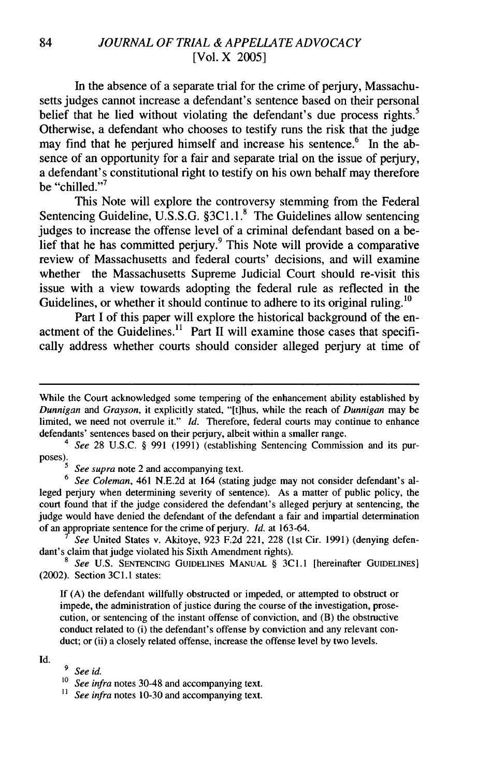#### 84 *JOURNAL OF TRIAL & APPELLATE ADVOCACY* [Vol. X 2005]

In the absence of a separate trial for the crime of perjury, Massachusetts judges cannot increase a defendant's sentence based on their personal belief that he lied without violating the defendant's due process rights.<sup>5</sup> Otherwise, a defendant who chooses to testify runs the risk that the judge may find that he perjured himself and increase his sentence.<sup> $6$ </sup> In the absence of an opportunity for a fair and separate trial on the issue of perjury, a defendant's constitutional right to testify on his own behalf may therefore be "chilled."<sup>7</sup>

This Note will explore the controversy stemming from the Federal Sentencing Guideline, U.S.S.G. §3C1.1.<sup>8</sup> The Guidelines allow sentencing judges to increase the offense level of a criminal defendant based on a belief that he has committed perjury.<sup>9</sup> This Note will provide a comparative review of Massachusetts and federal courts' decisions, and will examine whether the Massachusetts Supreme Judicial Court should re-visit this issue with a view towards adopting the federal rule as reflected in the Guidelines, or whether it should continue to adhere to its original ruling.<sup>10</sup>

Part I of this paper will explore the historical background of the enactment of the Guidelines.<sup>11</sup> Part II will examine those cases that specifically address whether courts should consider alleged perjury at time of

6 *See Coleman,* 461 N.E.2d at 164 (stating judge may not consider defendant's alleged perjury when determining severity of sentence). As a matter of public policy, the court found that if the judge considered the defendant's alleged perjury at sentencing, the judge would have denied the defendant of the defendant a fair and impartial determination of an appropriate sentence for the crime of perjury. *Id.* at 163-64.

See United States v. Akitoye, 923 F.2d 221, 228 (1st Cir. 1991) (denying defendant's claim that judge violated his Sixth Amendment rights).

**8** See U.S. SENTENCING GUIDELINES MANUAL § 3Cl.1 [hereinafter GUIDELINES] (2002). Section 3C1.1 states:

If (A) the defendant willfully obstructed or impeded, or attempted to obstruct or impede, the administration of justice during the course of the investigation, prosecution, or sentencing of the instant offense of conviction, and (B) the obstructive conduct related to (i) the defendant's offense by conviction and any relevant conduct; or (ii) a closely related offense, increase the offense level by two levels.

#### Id.

**9** *See id.*

**1o** *See infra* notes 30-48 and accompanying text.

**11** *See infra* notes 10-30 and accompanying text.

While the Court acknowledged some tempering of the enhancement ability established by Dunnigan *and* Grayson, it explicitly stated, "[t]hus, while the reach of Dunnigan may be limited, we need not overrule it." Id. Therefore, federal courts may continue to enhance defendants' sentences based on their perjury, albeit within a smaller range.

<sup>4</sup> See 28 U.S.C. § 991 (1991) (establishing Sentencing Commission and its purposes).<br><sup>5</sup> *See supra* note 2 and accompanying text.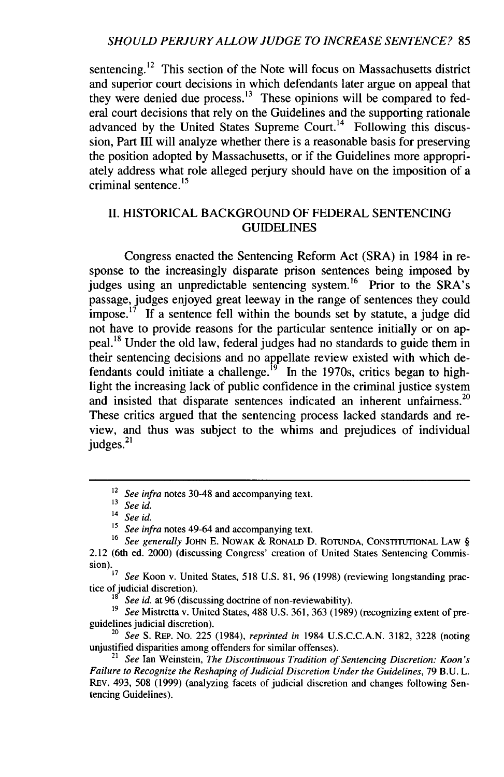sentencing.<sup>12</sup> This section of the Note will focus on Massachusetts district and superior court decisions in which defendants later argue on appeal that they were denied due process.<sup>13</sup> These opinions will be compared to federal court decisions that rely on the Guidelines and the supporting rationale advanced by the United States Supreme Court.<sup>14</sup> Following this discussion, Part III will analyze whether there is a reasonable basis for preserving the position adopted by Massachusetts, or if the Guidelines more appropriately address what role alleged perjury should have on the imposition of a criminal sentence. $^{15}$ 

### II. HISTORICAL BACKGROUND OF FEDERAL SENTENCING GUIDELINES

Congress enacted the Sentencing Reform Act (SRA) in 1984 in response to the increasingly disparate prison sentences being imposed by judges using an unpredictable sentencing system.<sup>16</sup> Prior to the SRA's passage, judges enjoyed great leeway in the range of sentences they could impose.<sup>17</sup> If a sentence fell within the bounds set by statute, a judge did not have to provide reasons for the particular sentence initially or on appeal. **<sup>1</sup> <sup>8</sup>**Under the old law, federal judges had no standards to guide them in their sentencing decisions and no appellate review existed with which defendants could initiate a challenge.<sup>19</sup> In the 1970s, critics began to highlight the increasing lack of public confidence in the criminal justice system and insisted that disparate sentences indicated an inherent unfairness.<sup>20</sup> These critics argued that the sentencing process lacked standards and review, and thus was subject to the whims and prejudices of individual judges.<sup>21</sup>

<sup>&</sup>lt;sup>12</sup> See infra notes 30-48 and accompanying text.

<sup>13</sup>*Seeid.*

<sup>14</sup>*See id.*

*<sup>15</sup> See infra* notes 49-64 and accompanying text.

<sup>16</sup> *See generally* **JOHN** E. NOWAK & RONALD D. **ROTUNDA, CONSTITUTIONAL** LAW § 2.12 (6th ed. 2000) (discussing Congress' creation of United States Sentencing Commission). *17 See* Koon v. United States, 518 U.S. 81, 96 (1998) (reviewing longstanding prac-

tice of judicial discretion). tice of judicial discretion).<br><sup>18</sup> *See id.* at 96 (discussing doctrine of non-reviewability).

<sup>&</sup>lt;sup>19</sup> *See* Mistretta v. United States, 488 U.S. 361, 363 (1989) (recognizing extent of preguidelines judicial discretion).

*<sup>20</sup>See* S. REP. No. 225 (1984), *reprinted in* 1984 U.S.C.C.A.N. 3182, 3228 (noting unjustified disparities among offenders for similar offenses).

<sup>21</sup>*See* Ian Weinstein, *The Discontinuous Tradition of Sentencing Discretion: Koon's Failure to Recognize the Reshaping of Judicial Discretion Under the Guidelines,* 79 B.U. L. REV. 493, 508 (1999) (analyzing facets of judicial discretion and changes following Sentencing Guidelines).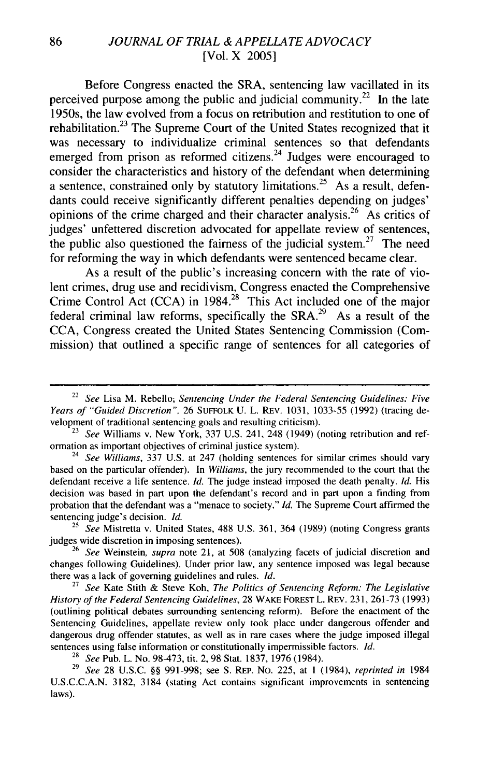#### 86 *JOURNAL OF TRIAL & APPELLATE ADVOCACY* [Vol. X 2005]

Before Congress enacted the SRA, sentencing law vacillated in its perceived purpose among the public and judicial community.<sup>22</sup> In the late 1950s, the law evolved from a focus on retribution and restitution to one of rehabilitation.<sup>23</sup> The Supreme Court of the United States recognized that it was necessary to individualize criminal sentences so that defendants emerged from prison as reformed citizens.<sup>24</sup> Judges were encouraged to consider the characteristics and history of the defendant when determining a sentence, constrained only by statutory limitations.<sup>25</sup> As a result, defendants could receive significantly different penalties depending on judges' opinions of the crime charged and their character analysis.<sup>26</sup> As critics of judges' unfettered discretion advocated for appellate review of sentences, the public also questioned the fairness of the judicial system.<sup>27</sup> The need for reforming the way in which defendants were sentenced became clear.

As a result of the public's increasing concern with the rate of violent crimes, drug use and recidivism, Congress enacted the Comprehensive Crime Control Act **(CCA)** in 1984.<sup>28</sup> This Act included one of the major federal criminal law reforms, specifically the SRA.<sup>29</sup> As a result of the **CCA,** Congress created the United States Sentencing Commission (Commission) that outlined a specific range of sentences for all categories of

<sup>25</sup>*See* Mistretta v. United States, 488 U.S. 361, 364 (1989) (noting Congress grants judges wide discretion in imposing sentences).

**<sup>26</sup>***See* Weinstein, *supra* note 21, at 508 (analyzing facets of judicial discretion and changes following Guidelines). Under prior law, any sentence imposed was legal because there was a lack of governing guidelines and rules. *Id.*

<sup>27</sup>*See* Kate Stith & Steve Koh, *The Politics of Sentencing Reform: The Legislative History of the Federal Sentencing Guidelines,* 28 WAKE FOREST L. REV. 231, 261-73 (1993) (outlining political debates surrounding sentencing reform). Before the enactment of the Sentencing Guidelines, appellate review only took place under dangerous offender and dangerous drug offender statutes, as well as in rare cases where the judge imposed illegal sentences using false information or constitutionally impermissible factors. *Id.*

**<sup>28</sup>***See* Pub. L. No. 98-473, tit. 2, 98 Stat. 1837, 1976 (1984).

<sup>29</sup>*See* 28 U.S.C. §§ 991-998; see S. REP. No. 225, at **1** (1984), *reprinted in* 1984 U.S.C.C.A.N. 3182, 3184 (stating Act contains significant improvements in sentencing laws).

<sup>22</sup>*See* Lisa M. Rebello; *Sentencing Under the Federal Sentencing Guidelines: Five Years of* "Guided Discretion", 26 SUFFOLK U. L. REV. 1031, 1033-55 (1992) (tracing development of traditional sentencing goals and resulting criticism).

<sup>23</sup> *See* Williams v. New York, 337 U.S. 241, 248 (1949) (noting retribution and reformation as important objectives of criminal justice system).

<sup>24</sup>*See Williams,* 337 U.S. at 247 (holding sentences for similar crimes should vary based on the particular offender). In *Williams,* the jury recommended to the court that the defendant receive a life sentence. *Id.* The judge instead imposed the death penalty. *Id.* His decision was based in part upon the defendant's record and in part upon a finding from probation that the defendant was a "menace to society." *Id.* The Supreme Court affirmed the sentencing judge's decision. *Id.*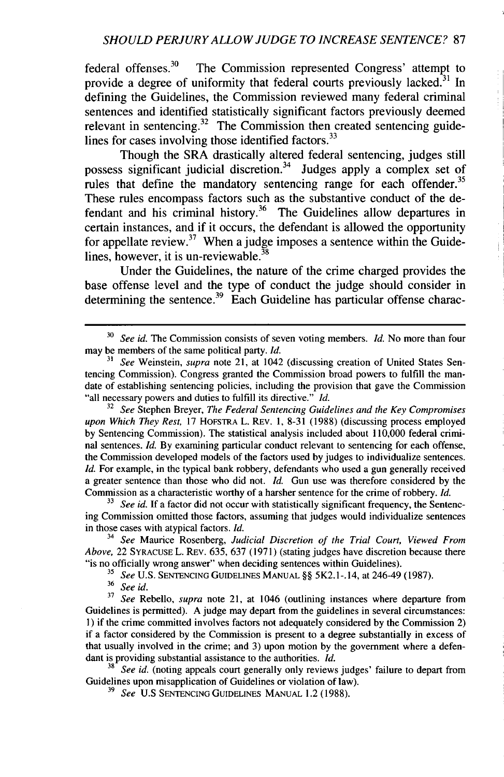#### *SHOULD PERJURY ALLOW JUDGE TO INCREASE SENTENCE?* 87

federal offenses. $30$  The Commission represented Congress' attempt to provide a degree of uniformity that federal courts previously lacked.<sup>31</sup> In defining the Guidelines, the Commission reviewed many federal criminal sentences and identified statistically significant factors previously deemed relevant in sentencing.<sup>32</sup> The Commission then created sentencing guidelines for cases involving those identified factors. $33$ 

Though the SRA drastically altered federal sentencing, judges still possess significant judicial discretion.<sup>34</sup> Judges apply a complex set of rules that define the mandatory sentencing range for each offender.<sup>35</sup> These rules encompass factors such as the substantive conduct of the defendant and his criminal history.<sup>36</sup> The Guidelines allow departures in certain instances, and if it occurs, the defendant is allowed the opportunity for appellate review.<sup>37</sup> When a judge imposes a sentence within the Guidelines, however, it is un-reviewable. $^{38}$ 

Under the Guidelines, the nature of the crime charged provides the base offense level and the type of conduct the judge should consider in determining the sentence.<sup>39</sup> Each Guideline has particular offense charac-

32 *See* Stephen Breyer, *The Federal Sentencing Guidelines and the Key Compromises upon Which They Rest,* 17 HOFSTRA L. REv. 1, 8-31 (1988) (discussing process employed by Sentencing Commission). The statistical analysis included about 110,000 federal criminal sentences. *Id.* By examining particular conduct relevant to sentencing for each offense, the Commission developed models of the factors used by judges to individualize sentences. *Id.* For example, in the typical bank robbery, defendants who used a gun generally received a greater sentence than those who did not. *Id.* Gun use was therefore considered by the Commission as a characteristic worthy of a harsher sentence for the crime of robbery. *Id.*

<sup>33</sup> *See id.* If a factor did not occur with statistically significant frequency, the Sentencing Commission omitted those factors, assuming that judges would individualize sentences in those cases with atypical factors. *Id.*

*<sup>34</sup>See* Maurice Rosenberg, *Judicial Discretion of the Trial Court, Viewed From Above,* 22 SYRACUSE L. REv. 635, 637 (1971) (stating judges have discretion because there "is no officially wrong answer" when deciding sentences within Guidelines).

**<sup>35</sup>***See* U.S. SENTENCING GUIDELINES MANUAL §§ 5K2.1-. 14, at 246-49 (1987).

<sup>36</sup>*See id.*

**<sup>37</sup>***See* Rebello, supra note 21, at 1046 (outlining instances where departure from Guidelines is permitted). A judge may depart from the guidelines in several circumstances: 1) if the crime committed involves factors not adequately considered by the Commission 2) if a factor considered by the Commission is present to a degree substantially in excess of that usually involved in the crime; and 3) upon motion by the government where a defendant is providing substantial assistance to the authorities. *Id.*

**<sup>38</sup>***See id.* (noting appeals court generally only reviews judges' failure to depart from Guidelines upon misapplication of Guidelines or violation of law).

**39** *See* U.S SENTENCING GUIDELINES MANUAL 1.2 (1988).

<sup>30</sup>*See id.* The Commission consists of seven voting members. *Id.* No more than four may be members of the same political party. *Id.*

*<sup>31</sup> See* Weinstein, *supra* note 21, at 1042 (discussing creation of United States Sentencing Commission). Congress granted the Commission broad powers to fulfill the mandate of establishing sentencing policies, including the provision that gave the Commission "all necessary powers and duties to fulfill its directive." *Id.*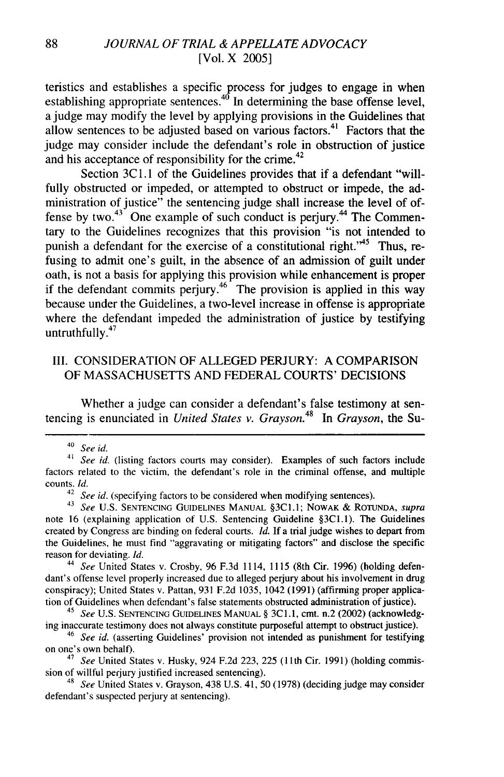teristics and establishes a specific process for judges to engage in when establishing appropriate sentences. $40$  In determining the base offense level a judge may modify the level by applying provisions in the Guidelines that allow sentences to be adjusted based on various factors.<sup>41</sup> Factors that the judge may consider include the defendant's role in obstruction of justice and his acceptance of responsibility for the crime.<sup>42</sup>

Section 3C1.1 of the Guidelines provides that if a defendant "willfully obstructed or impeded, or attempted to obstruct or impede, the administration of justice" the sentencing judge shall increase the level of offense by two. $43^{3}$  One example of such conduct is perjury. $44$  The Commentary to the Guidelines recognizes that this provision "is not intended to punish a defendant for the exercise of a constitutional right."<sup>45</sup> Thus, refusing to admit one's guilt, in the absence of an admission of guilt under oath, is not a basis for applying this provision while enhancement is proper if the defendant commits perjury.<sup>46</sup> The provision is applied in this way because under the Guidelines, a two-level increase in offense is appropriate where the defendant impeded the administration of justice by testifying untruthfully. $47$ 

#### III. CONSIDERATION OF ALLEGED PERJURY: A COMPARISON OF MASSACHUSETTS AND FEDERAL COURTS' DECISIONS

Whether a judge can consider a defendant's false testimony at sentencing is enunciated in *United States v. Grayson.<sup>4</sup>8* In *Grayson,* the Su-

44 *See* United States v. Crosby, 96 F.3d 1114, 1115 (8th Cir. 1996) (holding defendant's offense level properly increased due to alleged perjury about his involvement in drug conspiracy); United States v. Pattan, 931 F.2d 1035, 1042 (1991) (affirming proper application of Guidelines when defendant's false statements obstructed administration of justice).

45 *See* U.S. SENTENCING **GUIDELINES** MANUAL § 3C1.1, cmt. n.2 (2002) (acknowledging inaccurate testimony does not always constitute purposeful attempt to obstruct justice).

<sup>46</sup>*See id.* (asserting Guidelines' provision not intended as punishment for testifying on one's own behalf).

47 *See* United States v. Husky, 924 F.2d 223, 225 (1 1th Cir. 1991) (holding commission of willful perjury justified increased sentencing).

48 *See* United States v. Grayson, 438 U.S. 41, 50 (1978) (deciding judge may consider defendant's suspected perjury at sentencing).

 $40$  See id.

<sup>41</sup>*See* id. (listing factors courts may consider). Examples of such factors include factors related to the victim, the defendant's role in the criminal offense, and multiple counts. *Id.*

See *id.* (specifying factors to be considered when modifying sentences).

<sup>&</sup>lt;sup>43</sup> See U.S. SENTENCING GUIDELINES MANUAL §3C1.1; NOWAK & ROTUNDA, *supra* note 16 (explaining application of U.S. Sentencing Guideline §3C1.1). The Guidelines created by Congress are binding on federal courts. *Id.* If a trial judge wishes to depart from the Guidelines, he must find "aggravating or mitigating factors" and disclose the specific reason for deviating. *Id.*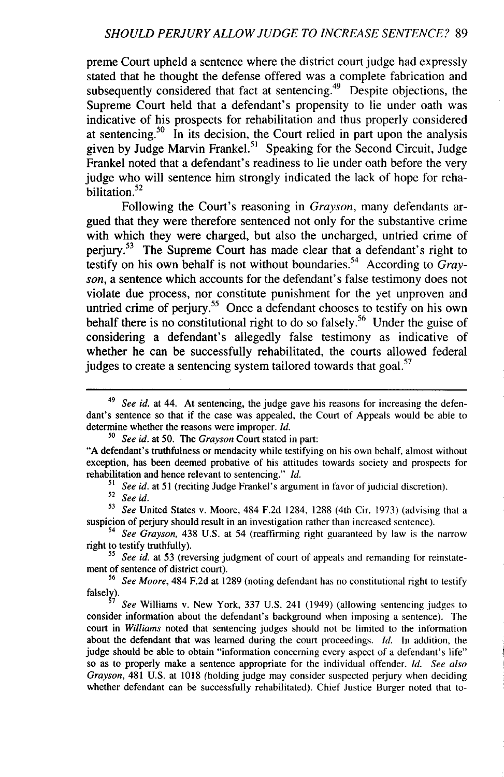preme Court upheld a sentence where the district court judge had expressly stated that he thought the defense offered was a complete fabrication and subsequently considered that fact at sentencing.<sup>49</sup> Despite objections, the Supreme Court held that a defendant's propensity to lie under oath was indicative of his prospects for rehabilitation and thus properly considered at sentencing.<sup>50</sup> In its decision, the Court relied in part upon the analysis given by Judge Marvin Frankel.<sup>51</sup> Speaking for the Second Circuit, Judge Frankel noted that a defendant's readiness to lie under oath before the very judge who will sentence him strongly indicated the lack of hope for reha-**<sup>52</sup>** bilitation.

Following the Court's reasoning in *Grayson,* many defendants argued that they were therefore sentenced not only for the substantive crime with which they were charged, but also the uncharged, untried crime of perjury.<sup>53</sup> The Supreme Court has made clear that a defendant's right to testify on his own behalf is not without boundaries.<sup>54</sup> According to *Grayson,* a sentence which accounts for the defendant's false testimony does not violate due process, nor constitute punishment for the yet unproven and untried crime of perjury.<sup>55</sup> Once a defendant chooses to testify on his own behalf there is no constitutional right to do so falsely.<sup>56</sup> Under the guise of considering a defendant's allegedly false testimony as indicative of whether he can be successfully rehabilitated, the courts allowed federal judges to create a sentencing system tailored towards that goal.<sup>57</sup>

*51 See id.* at 51 (reciting Judge Frankel's argument in favor of judicial discretion).

*<sup>52</sup>See id.*

**<sup>53</sup>***See* United States v. Moore, 484 F.2d 1284, 1288 (4th Cir. 1973) (advising that a suspicion of perjury should result in an investigation rather than increased sentence).

<sup>54</sup>*See Grayson,* 438 U.S. at 54 (reaffirming right guaranteed by law is the narrow right to testify truthfully).

*55 See id.* at 53 (reversing judgment of court of appeals and remanding for reinstatement of sentence of district court).

<sup>56</sup> See Moore, 484 F.2d at 1289 (noting defendant has no constitutional right to testify falsely).

See Williams v. New York, 337 U.S. 241 (1949) (allowing sentencing judges to consider information about the defendant's background when imposing a sentence). The court in *Williams* noted that sentencing judges should not be limited to the information about the defendant that was learned during the court proceedings. *Id.* In addition, the judge should be able to obtain "information concerning every aspect of a defendant's life" so as to properly make a sentence appropriate for the individual offender. *Id. See also Grayson,* 481 U.S. at 1018 (holding judge may consider suspected perjury when deciding whether defendant can be successfully rehabilitated). Chief Justice Burger noted that to-

<sup>49</sup> *See id.* at 44. At sentencing, the judge gave his reasons for increasing the defendant's sentence so that if the case was appealed, the Court of Appeals would be able to determine whether the reasons were improper. *Id.*

*<sup>50</sup>See id.* at **50.** The *Grayson* Court stated in part: "A defendant's truthfulness or mendacity while testifying on his own behalf, almost without exception, has been deemed probative of his attitudes towards society and prospects for rehabilitation and hence relevant to sentencing." *Id.*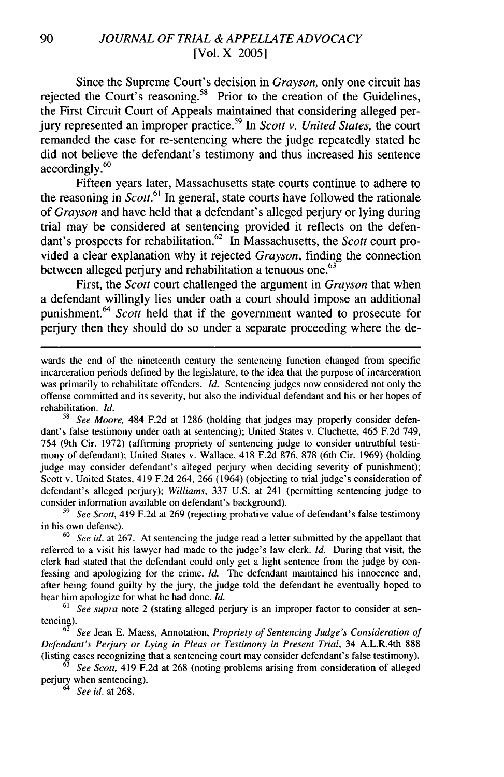Since the Supreme Court's decision in *Grayson,* only one circuit has rejected the Court's reasoning.<sup>58</sup> Prior to the creation of the Guidelines, the First Circuit Court of Appeals maintained that considering alleged perjury represented an improper practice.<sup>59</sup> In *Scott v. United States*, the court remanded the case for re-sentencing where the judge repeatedly stated he did not believe the defendant's testimony and thus increased his sentence accordingly.<sup>60</sup>

Fifteen years later, Massachusetts state courts continue to adhere to the reasoning in *Scott.<sup>61</sup>*In general, state courts have followed the rationale of *Grayson* and have held that a defendant's alleged perjury or lying during trial may be considered at sentencing provided it reflects on the defendant's prospects for rehabilitation.<sup>62</sup> In Massachusetts, the *Scott* court provided a clear explanation why it rejected *Grayson,* finding the connection between alleged perjury and rehabilitation a tenuous one.<sup>63</sup>

First, the *Scott* court challenged the argument in *Grayson* that when a defendant willingly lies under oath a court should impose an additional punishment.<sup>64</sup>*Scott* held that if the government wanted to prosecute for perjury then they should do so under a separate proceeding where the de-

*58 See Moore,* 484 F.2d at 1286 (holding that judges may properly consider defendant's false testimony under oath at sentencing); United States v. Cluchette, 465 F.2d 749, 754 (9th Cir. 1972) (affirming propriety of sentencing judge to consider untruthful testimony of defendant); United States v. Wallace, 418 F.2d 876, 878 (6th Cir. 1969) (holding judge may consider defendant's alleged perjury when deciding severity of punishment); Scott v. United States, 419 F.2d 264, 266 (1964) (objecting to trial judge's consideration of defendant's alleged perjury); *Williams,* 337 U.S. at 241 (permitting sentencing judge to consider information available on defendant's background).

*<sup>59</sup>See Scott,* 419 F.2d at 269 (rejecting probative value of defendant's false testimony in his own defense).

*<sup>60</sup>See id.* at 267. At sentencing the judge read a letter submitted by the appellant that referred to a visit his lawyer had made to the judge's law clerk. *Id.* During that visit, the clerk had stated that the defendant could only get a light sentence from the judge by confessing and apologizing for the crime. *Id.* The defendant maintained his innocence and, after being found guilty by the jury, the judge told the defendant he eventually hoped to hear him apologize for what he had done. *Id.*

*61 See supra* note 2 (stating alleged perjury is an improper factor to consider at sentencing).

<sup>62</sup>*See* Jean E. Maess, Annotation, *Propriety of Sentencing Judge's Consideration of Defendant's Perjury or Lying in Pleas or Testimony in Present Trial,* 34 A.L.R.4th 888 (listing cases recognizing that a sentencing court may consider defendant's false testimony).

<sup>63</sup>*See Scott,* 419 F.2d at 268 (noting problems arising from consideration of alleged perjury when sentencing).

*64 See id.* at 268.

wards the end of the nineteenth century the sentencing function changed from specific incarceration periods defined by the legislature, to the idea that the purpose of incarceration was primarily to rehabilitate offenders. *Id.* Sentencing judges now considered not only the offense committed and its severity, but also the individual defendant and his or her hopes of rehabilitation. *Id.*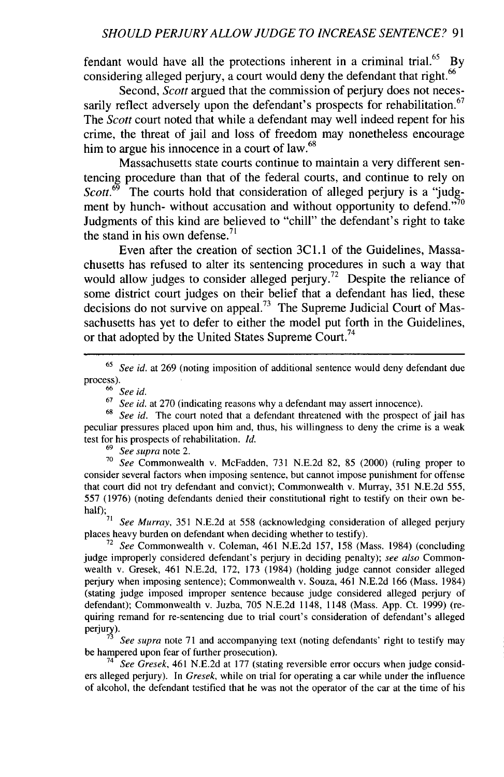fendant would have all the protections inherent in a criminal trial. $65$  By considering alleged perjury, a court would deny the defendant that right.<sup>66</sup>

Second, *Scott* argued that the commission of perjury does not necessarily reflect adversely upon the defendant's prospects for rehabilitation.<sup>67</sup> The *Scott* court noted that while a defendant may well indeed repent for his crime, the threat of jail and loss of freedom may nonetheless encourage him to argue his innocence in a court of law.<sup>68</sup>

Massachusetts state courts continue to maintain a very different sentencing procedure than that of the federal courts, and continue to rely on *Scott.*<sup>69</sup> The courts hold that consideration of alleged perjury is a "judgment by hunch- without accusation and without opportunity to defend."70 Judgments of this kind are believed to "chill" the defendant's right to take the stand in his own defense. $^{71}$ 

Even after the creation of section 3C1.1 of the Guidelines, Massachusetts has refused to alter its sentencing procedures in such a way that would allow judges to consider alleged perjury.<sup>72</sup> Despite the reliance of some district court judges on their belief that a defendant has lied, these decisions do not survive on appeal.<sup>73</sup> The Supreme Judicial Court of Massachusetts has yet to defer to either the model put forth in the Guidelines, or that adopted by the United States Supreme Court.<sup>74</sup>

<sup>65</sup>*See id.* at 269 (noting imposition of additional sentence would deny defendant due process).

<sup>66</sup>*See id.*

<sup>67</sup>*See id.* at 270 (indicating reasons why a defendant may assert innocence).

<sup>68</sup>*See id.* The court noted that a defendant threatened with the prospect of jail has peculiar pressures placed upon him and, thus, his willingness to deny the crime is a weak test for his prospects of rehabilitation. *Id.*

<sup>69</sup>*See supra* note 2.

<sup>70</sup>*See* Commonwealth v. McFadden, 731 N.E.2d 82, 85 (2000) (ruling proper to consider several factors when imposing sentence, but cannot impose punishment for offense that court did not try defendant and convict); Commonwealth v. Murray, 351 N.E.2d 555, 557 (1976) (noting defendants denied their constitutional right to testify on their own be- $\overrightarrow{half}$ );

See Murray, 351 N.E.2d at 558 (acknowledging consideration of alleged perjury places heavy burden on defendant when deciding whether to testify).

**<sup>72</sup>***See* Commonwealth v. Coleman, 461 N.E.2d 157, 158 (Mass. 1984) (concluding judge improperly considered defendant's perjury in deciding penalty); *see also* Commonwealth v. Gresek, 461 N.E.2d, 172, 173 (1984) (holding judge cannot consider alleged perjury when imposing sentence); Commonwealth v. Souza, 461 N.E.2d 166 (Mass. 1984) (stating judge imposed improper sentence because judge considered alleged perjury of defendant); Commonwealth v. Juzba, 705 N.E.2d 1148, 1148 (Mass. App. Ct. 1999) (requiring remand for re-sentencing due to trial court's consideration of defendant's alleged perjury).

**<sup>73</sup>***See supra* note 71 and accompanying text (noting defendants' right to testify may be hampered upon fear of further prosecution).

74 *See Gresek,* 461 N.E.2d at 177 (stating reversible error occurs when judge considers alleged perjury). In *Gresek,* while on trial for operating a car while under the influence of alcohol, the defendant testified that he was not the operator of the car at the time of his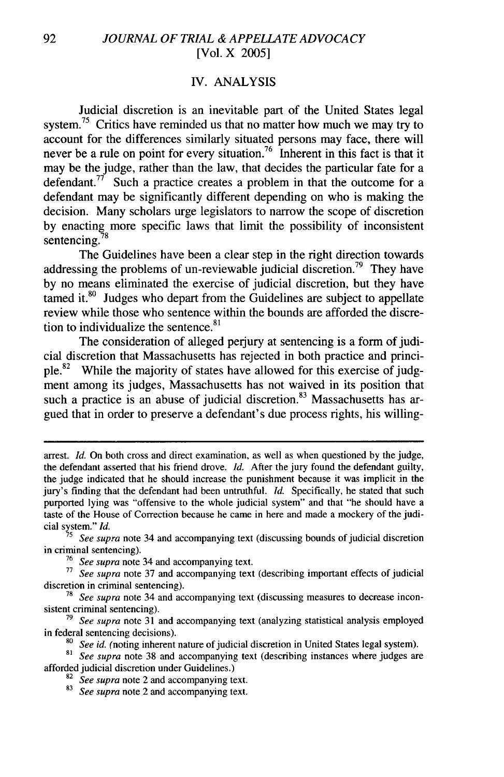#### *W.* ANALYSIS

Judicial discretion is an inevitable part of the United States legal system.<sup>75</sup> Critics have reminded us that no matter how much we may try to account for the differences similarly situated persons may face, there will never be a rule on point for every situation.<sup>76</sup> Inherent in this fact is that it may be the judge, rather than the law, that decides the particular fate for a defendant.<sup>77</sup> Such a practice creates a problem in that the outcome for a defendant may be significantly different depending on who is making the decision. Many scholars urge legislators to narrow the scope of discretion by enacting more specific laws that limit the possibility of inconsistent sentencing.<sup>7</sup>

The Guidelines have been a clear step in the right direction towards addressing the problems of un-reviewable judicial discretion.<sup>79</sup> They have by no means eliminated the exercise of judicial discretion, but they have tamed it.<sup>80</sup> Judges who depart from the Guidelines are subject to appellate review while those who sentence within the bounds are afforded the discretion to individualize the sentence.<sup>81</sup>

The consideration of alleged perjury at sentencing is a form of judicial discretion that Massachusetts has rejected in both practice and principle.<sup>82</sup> While the majority of states have allowed for this exercise of judgment among its judges, Massachusetts has not waived in its position that such a practice is an abuse of judicial discretion.<sup>83</sup> Massachusetts has argued that in order to preserve a defendant's due process rights, his willing-

arrest. *Id.* On both cross and direct examination, as well as when questioned by the judge, the defendant asserted that his friend drove. *Id.* After the jury found the defendant guilty, the judge indicated that he should increase the punishment because it was implicit in the jury's finding that the defendant had been untruthful. *Id.* Specifically, he stated that such purported lying was "offensive to the whole judicial system" and that "he should have a taste of the House of Correction because he came in here and made a mockery of the judicial system." *Id.*

**<sup>75</sup>***See* supra note 34 and accompanying text (discussing bounds of judicial discretion in criminal sentencing).

 $76$  See supra note 34 and accompanying text.

*TT* See supra note 37 and accompanying text (describing important effects of judicial discretion in criminal sentencing).

<sup>78</sup> *See supra* note 34 and accompanying text (discussing measures to decrease inconsistent criminal sentencing).

**<sup>79</sup>***See supra* note 31 and accompanying text (analyzing statistical analysis employed in federal sentencing decisions).

<sup>80</sup>*See id.* (noting inherent nature of judicial discretion in United States legal system).

**<sup>81</sup>***See supra* note 38 and accompanying text (describing instances where judges are afforded judicial discretion under Guidelines.)

**<sup>82</sup>***See supra* note 2 and accompanying text.

<sup>83</sup> *See supra* note 2 and accompanying text.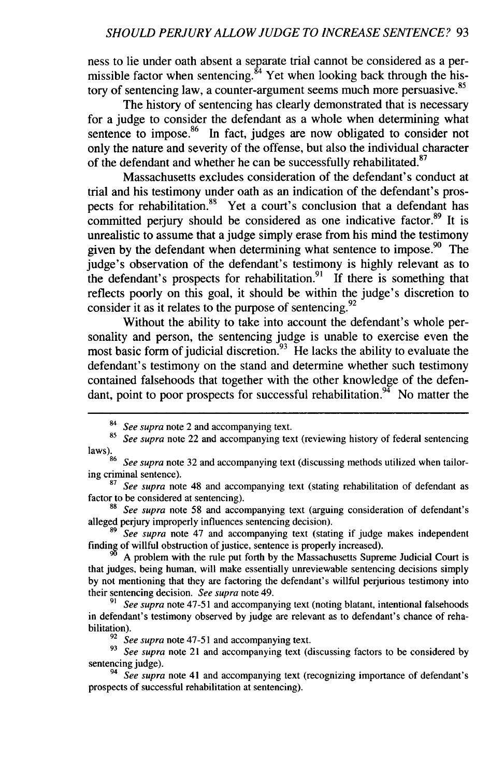ness to lie under oath absent a separate trial cannot be considered as a permissible factor when sentencing. $84$  Yet when looking back through the history of sentencing law, a counter-argument seems much more persuasive.<sup>85</sup>

The history of sentencing has clearly demonstrated that is necessary for a judge to consider the defendant as a whole when determining what sentence to impose.<sup>86</sup> In fact, judges are now obligated to consider not only the nature and severity of the offense, but also the individual character of the defendant and whether he can be successfully rehabilitated.<sup>87</sup>

Massachusetts excludes consideration of the defendant's conduct at trial and his testimony under oath as an indication of the defendant's prospects for rehabilitation.<sup>88</sup> Yet a court's conclusion that a defendant has committed perjury should be considered as one indicative factor.<sup>89</sup> It is unrealistic to assume that a judge simply erase from his mind the testimony given by the defendant when determining what sentence to impose.<sup>90</sup> The judge's observation of the defendant's testimony is highly relevant as to the defendant's prospects for rehabilitation.<sup>91</sup> If there is something that reflects poorly on this goal, it should be within the judge's discretion to consider it as it relates to the purpose of sentencing.<sup>92</sup>

Without the ability to take into account the defendant's whole personality and person, the sentencing judge is unable to exercise even the most basic form of judicial discretion.<sup>93</sup> He lacks the ability to evaluate the defendant's testimony on the stand and determine whether such testimony contained falsehoods that together with the other knowledge of the defendant, point to poor prospects for successful rehabilitation.<sup>94</sup> No matter the

<sup>88</sup>*See supra* note 58 and accompanying text (arguing consideration of defendant's alleged perjury improperly influences sentencing decision).

<sup>89</sup>*See* supra note 47 and accompanying text (stating if judge makes independent finding of willful obstruction of justice, sentence is properly increased).

A problem with the rule put forth by the Massachusetts Supreme Judicial Court is that judges, being human, will make essentially unreviewable sentencing decisions simply by not mentioning that they are factoring the defendant's willful perjurious testimony into their sentencing decision. *See supra* note 49.

91 *See* supra note 47-51 and accompanying text (noting blatant, intentional falsehoods in defendant's testimony observed by judge are relevant as to defendant's chance of rehabilitation).

<sup>92</sup> See supra note 47-51 and accompanying text.

<sup>93</sup> See supra note 21 and accompanying text (discussing factors to be considered by sentencing judge).

<sup>94</sup>*See supra* note 41 and accompanying text (recognizing importance of defendant's prospects of successful rehabilitation at sentencing).

*<sup>84</sup>See supra* note 2 and accompanying text.

<sup>85</sup>*See supra* note 22 and accompanying text (reviewing history of federal sentencing laws). 86 *See supra* note 32 and accompanying text (discussing methods utilized when tailor-

ing criminal sentence). <sup>87</sup>*See supra* note 48 and accompanying text (stating rehabilitation of defendant as

factor to be considered at sentencing).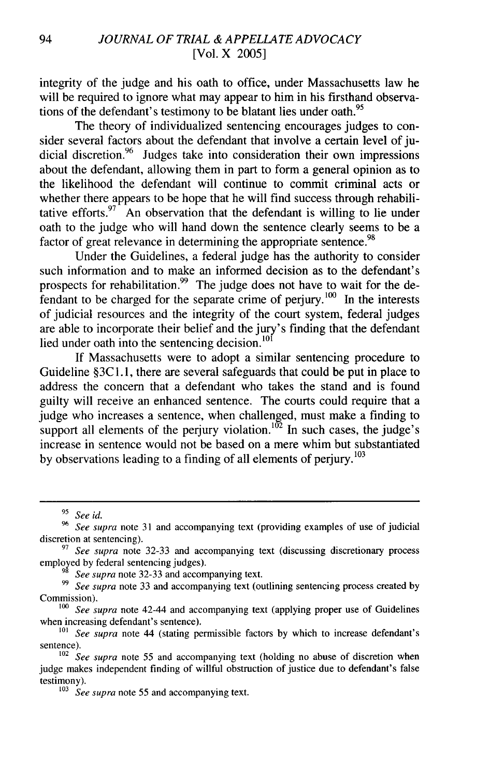integrity of the judge and his oath to office, under Massachusetts law he will be required to ignore what may appear to him in his firsthand observations of the defendant's testimony to be blatant lies under oath.<sup>95</sup>

The theory of individualized sentencing encourages judges to consider several factors about the defendant that involve a certain level of judicial discretion.<sup>96</sup> Judges take into consideration their own impressions about the defendant, allowing them in part to form a general opinion as to the likelihood the defendant will continue to commit criminal acts or whether there appears to be hope that he will find success through rehabilitative efforts. $97 \text{ A}$ n observation that the defendant is willing to lie under oath to the judge who will hand down the sentence clearly seems to be a factor of great relevance in determining the appropriate sentence.<sup>98</sup>

Under the Guidelines, a federal judge has the authority to consider such information and to make an informed decision as to the defendant's prospects for rehabilitation.<sup>99</sup> The judge does not have to wait for the defendant to be charged for the separate crime of perjury. $^{100}$  In the interests of judicial resources and the integrity of the court system, federal judges are able to incorporate their belief and the jury's finding that the defendant lied under oath into the sentencing decision.<sup>101</sup>

If Massachusetts were to adopt a similar sentencing procedure to Guideline §3C1.1, there are several safeguards that could be put in place to address the concern that a defendant who takes the stand and is found guilty will receive an enhanced sentence. The courts could require that a judge who increases a sentence, when challenged, must make a finding to support all elements of the perjury violation.<sup>102</sup> In such cases, the judge's increase in sentence would not be based on a mere whim but substantiated by observations leading to a finding of all elements of perjury.<sup>103</sup>

*See supra* note 32-33 and accompanying text.

<sup>99</sup> See supra note 33 and accompanying text (outlining sentencing process created by Commission).

*<sup>9&#</sup>x27; See id.*

**<sup>96</sup>***See supra* note 31 and accompanying text (providing examples of use of judicial discretion at sentencing).

**<sup>97</sup>***See supra* note 32-33 and accompanying text (discussing discretionary process employed by federal sentencing judges).

*<sup>1</sup>oo See supra* note 42-44 and accompanying text (applying proper use of Guidelines when increasing defendant's sentence).

*<sup>1</sup>o1 See supra* note 44 (stating permissible factors by which to increase defendant's sentence).

<sup>&</sup>lt;sup>102</sup> See supra note 55 and accompanying text (holding no abuse of discretion when judge makes independent finding of willful obstruction of justice due to defendant's false testimony).

<sup>&</sup>lt;sup>103</sup> *See supra* note 55 and accompanying text.